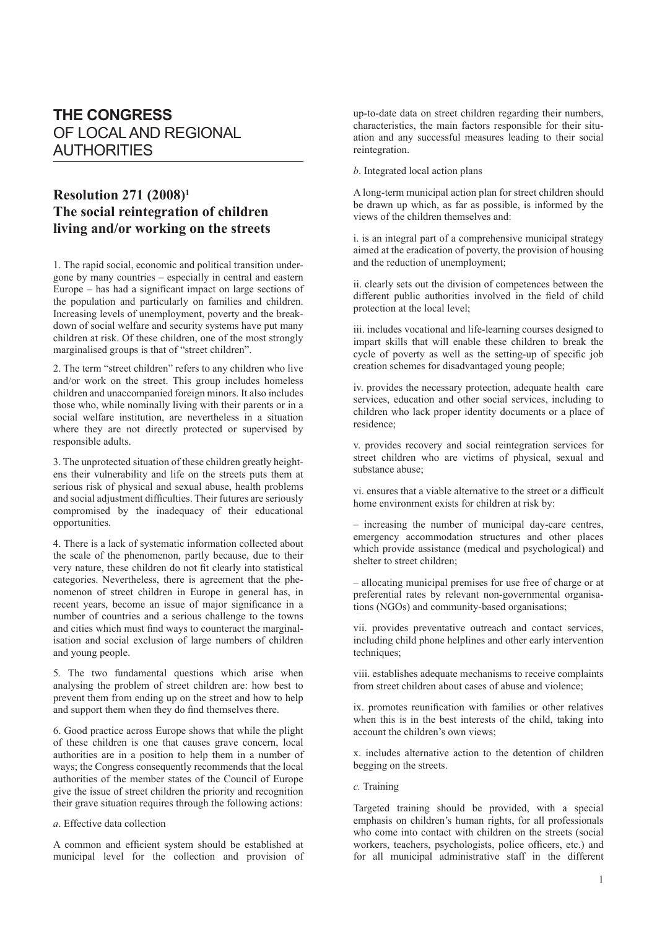## **THE CONGRESS** OF LOCAL AND REGIONAL **AUTHORITIES**

## **Resolution 271 (2008)1 The social reintegration of children living and/or working on the streets**

1. The rapid social, economic and political transition undergone by many countries – especially in central and eastern Europe – has had a significant impact on large sections of the population and particularly on families and children. Increasing levels of unemployment, poverty and the breakdown of social welfare and security systems have put many children at risk. Of these children, one of the most strongly marginalised groups is that of "street children".

2. The term "street children" refers to any children who live and/or work on the street. This group includes homeless children and unaccompanied foreign minors. It also includes those who, while nominally living with their parents or in a social welfare institution, are nevertheless in a situation where they are not directly protected or supervised by responsible adults.

3. The unprotected situation of these children greatly heightens their vulnerability and life on the streets puts them at serious risk of physical and sexual abuse, health problems and social adjustment difficulties. Their futures are seriously compromised by the inadequacy of their educational opportunities.

4. There is a lack of systematic information collected about the scale of the phenomenon, partly because, due to their very nature, these children do not fit clearly into statistical categories. Nevertheless, there is agreement that the phenomenon of street children in Europe in general has, in recent years, become an issue of major significance in a number of countries and a serious challenge to the towns and cities which must find ways to counteract the marginalisation and social exclusion of large numbers of children and young people.

5. The two fundamental questions which arise when analysing the problem of street children are: how best to prevent them from ending up on the street and how to help and support them when they do find themselves there.

6. Good practice across Europe shows that while the plight of these children is one that causes grave concern, local authorities are in a position to help them in a number of ways; the Congress consequently recommends that the local authorities of the member states of the Council of Europe give the issue of street children the priority and recognition their grave situation requires through the following actions:

*a*. Effective data collection

A common and efficient system should be established at municipal level for the collection and provision of up-to-date data on street children regarding their numbers, characteristics, the main factors responsible for their situation and any successful measures leading to their social reintegration.

*b*. Integrated local action plans

A long-term municipal action plan for street children should be drawn up which, as far as possible, is informed by the views of the children themselves and:

i. is an integral part of a comprehensive municipal strategy aimed at the eradication of poverty, the provision of housing and the reduction of unemployment;

ii. clearly sets out the division of competences between the different public authorities involved in the field of child protection at the local level;

iii. includes vocational and life-learning courses designed to impart skills that will enable these children to break the cycle of poverty as well as the setting-up of specific job creation schemes for disadvantaged young people;

iv. provides the necessary protection, adequate health care services, education and other social services, including to children who lack proper identity documents or a place of residence;

v. provides recovery and social reintegration services for street children who are victims of physical, sexual and substance abuse;

vi. ensures that a viable alternative to the street or a difficult home environment exists for children at risk by:

– increasing the number of municipal day-care centres, emergency accommodation structures and other places which provide assistance (medical and psychological) and shelter to street children;

– allocating municipal premises for use free of charge or at preferential rates by relevant non-governmental organisations (NGOs) and community-based organisations;

vii. provides preventative outreach and contact services, including child phone helplines and other early intervention techniques;

viii. establishes adequate mechanisms to receive complaints from street children about cases of abuse and violence;

ix. promotes reunification with families or other relatives when this is in the best interests of the child, taking into account the children's own views;

x. includes alternative action to the detention of children begging on the streets.

*c.* Training

Targeted training should be provided, with a special emphasis on children's human rights, for all professionals who come into contact with children on the streets (social workers, teachers, psychologists, police officers, etc.) and for all municipal administrative staff in the different